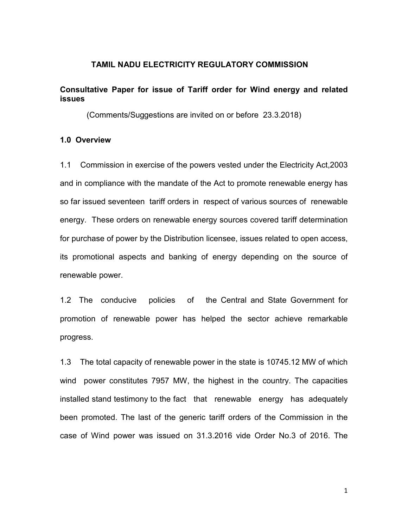#### TAMIL NADU ELECTRICITY REGULATORY COMMISSION

### Consultative Paper for issue of Tariff order for Wind energy and related issues

(Comments/Suggestions are invited on or before 23.3.2018)

#### 1.0 Overview

1.1 Commission in exercise of the powers vested under the Electricity Act,2003 and in compliance with the mandate of the Act to promote renewable energy has so far issued seventeen tariff orders in respect of various sources of renewable energy. These orders on renewable energy sources covered tariff determination for purchase of power by the Distribution licensee, issues related to open access, its promotional aspects and banking of energy depending on the source of renewable power.

1.2 The conducive policies of the Central and State Government for promotion of renewable power has helped the sector achieve remarkable progress.

1.3 The total capacity of renewable power in the state is 10745.12 MW of which wind power constitutes 7957 MW, the highest in the country. The capacities installed stand testimony to the fact that renewable energy has adequately been promoted. The last of the generic tariff orders of the Commission in the case of Wind power was issued on 31.3.2016 vide Order No.3 of 2016. The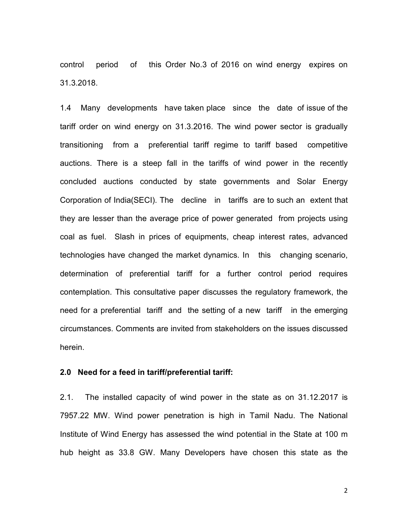control period of this Order No.3 of 2016 on wind energy expires on 31.3.2018.

1.4 Many developments have taken place since the date of issue of the tariff order on wind energy on 31.3.2016. The wind power sector is gradually transitioning from a preferential tariff regime to tariff based competitive auctions. There is a steep fall in the tariffs of wind power in the recently concluded auctions conducted by state governments and Solar Energy Corporation of India(SECI). The decline in tariffs are to such an extent that they are lesser than the average price of power generated from projects using coal as fuel. Slash in prices of equipments, cheap interest rates, advanced technologies have changed the market dynamics. In this changing scenario, determination of preferential tariff for a further control period requires contemplation. This consultative paper discusses the regulatory framework, the need for a preferential tariff and the setting of a new tariff in the emerging circumstances. Comments are invited from stakeholders on the issues discussed herein.

#### 2.0 Need for a feed in tariff/preferential tariff:

2.1. The installed capacity of wind power in the state as on 31.12.2017 is 7957.22 MW. Wind power penetration is high in Tamil Nadu. The National Institute of Wind Energy has assessed the wind potential in the State at 100 m hub height as 33.8 GW. Many Developers have chosen this state as the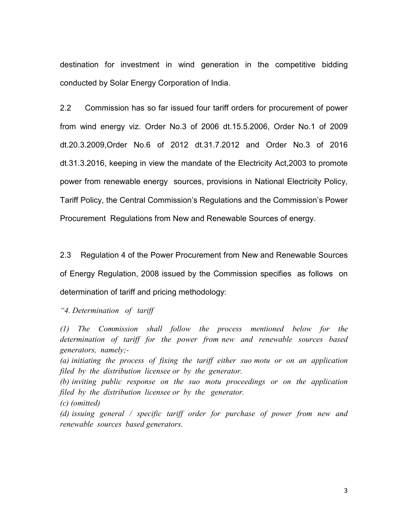destination for investment in wind generation in the competitive bidding conducted by Solar Energy Corporation of India.

2.2 Commission has so far issued four tariff orders for procurement of power from wind energy viz. Order No.3 of 2006 dt.15.5.2006, Order No.1 of 2009 dt.20.3.2009,Order No.6 of 2012 dt.31.7.2012 and Order No.3 of 2016 dt.31.3.2016, keeping in view the mandate of the Electricity Act,2003 to promote power from renewable energy sources, provisions in National Electricity Policy, Tariff Policy, the Central Commission's Regulations and the Commission's Power Procurement Regulations from New and Renewable Sources of energy.

2.3 Regulation 4 of the Power Procurement from New and Renewable Sources of Energy Regulation, 2008 issued by the Commission specifies as follows on determination of tariff and pricing methodology:

"4. Determination of tariff

(1) The Commission shall follow the process mentioned below for the determination of tariff for the power from new and renewable sources based generators, namely;-

(a) initiating the process of fixing the tariff either suo motu or on an application filed by the distribution licensee or by the generator.

(b) inviting public response on the suo motu proceedings or on the application filed by the distribution licensee or by the generator.

(c) (omitted)

(d) issuing general / specific tariff order for purchase of power from new and renewable sources based generators.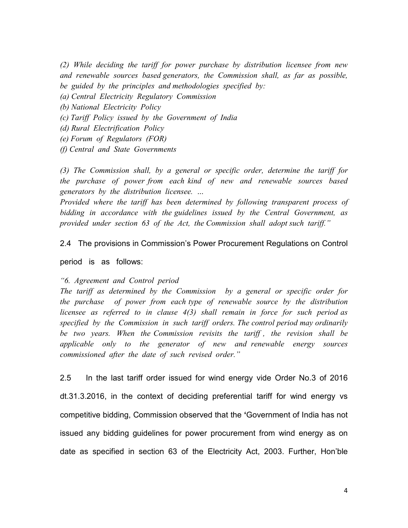(2) While deciding the tariff for power purchase by distribution licensee from new and renewable sources based generators, the Commission shall, as far as possible, be guided by the principles and methodologies specified by:

(a) Central Electricity Regulatory Commission

- (b) National Electricity Policy
- (c) Tariff Policy issued by the Government of India
- (d) Rural Electrification Policy
- (e) Forum of Regulators (FOR)
- (f) Central and State Governments

(3) The Commission shall, by a general or specific order, determine the tariff for the purchase of power from each kind of new and renewable sources based generators by the distribution licensee. …

Provided where the tariff has been determined by following transparent process of bidding in accordance with the guidelines issued by the Central Government, as provided under section 63 of the Act, the Commission shall adopt such tariff."

2.4 The provisions in Commission's Power Procurement Regulations on Control

period is as follows:

#### "6. Agreement and Control period

The tariff as determined by the Commission by a general or specific order for the purchase of power from each type of renewable source by the distribution licensee as referred to in clause 4(3) shall remain in force for such period as specified by the Commission in such tariff orders. The control period may ordinarily be two years. When the Commission revisits the tariff , the revision shall be applicable only to the generator of new and renewable energy sources commissioned after the date of such revised order."

2.5 In the last tariff order issued for wind energy vide Order No.3 of 2016 dt.31.3.2016, in the context of deciding preferential tariff for wind energy vs competitive bidding, Commission observed that the 'Government of India has not issued any bidding guidelines for power procurement from wind energy as on date as specified in section 63 of the Electricity Act, 2003. Further, Hon'ble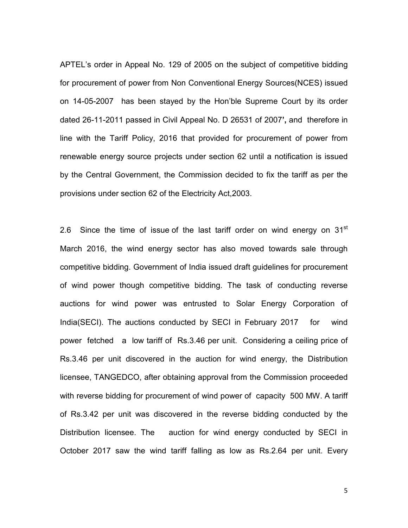APTEL's order in Appeal No. 129 of 2005 on the subject of competitive bidding for procurement of power from Non Conventional Energy Sources(NCES) issued on 14-05-2007 has been stayed by the Hon'ble Supreme Court by its order dated 26-11-2011 passed in Civil Appeal No. D 26531 of 2007', and therefore in line with the Tariff Policy, 2016 that provided for procurement of power from renewable energy source projects under section 62 until a notification is issued by the Central Government, the Commission decided to fix the tariff as per the provisions under section 62 of the Electricity Act,2003.

2.6 Since the time of issue of the last tariff order on wind energy on  $31<sup>st</sup>$ March 2016, the wind energy sector has also moved towards sale through competitive bidding. Government of India issued draft guidelines for procurement of wind power though competitive bidding. The task of conducting reverse auctions for wind power was entrusted to Solar Energy Corporation of India(SECI). The auctions conducted by SECI in February 2017 for wind power fetched a low tariff of Rs.3.46 per unit. Considering a ceiling price of Rs.3.46 per unit discovered in the auction for wind energy, the Distribution licensee, TANGEDCO, after obtaining approval from the Commission proceeded with reverse bidding for procurement of wind power of capacity 500 MW. A tariff of Rs.3.42 per unit was discovered in the reverse bidding conducted by the Distribution licensee. The auction for wind energy conducted by SECI in October 2017 saw the wind tariff falling as low as Rs.2.64 per unit. Every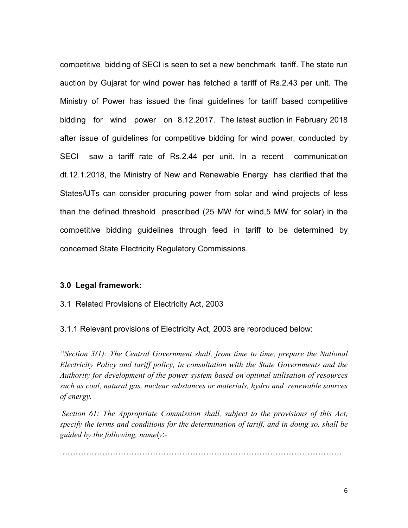competitive bidding of SECI is seen to set a new benchmark tariff. The state run auction by Gujarat for wind power has fetched a tariff of Rs.2.43 per unit. The Ministry of Power has issued the final guidelines for tariff based competitive bidding for wind power on 8.12.2017. The latest auction in February 2018 after issue of guidelines for competitive bidding for wind power, conducted by SECI saw a tariff rate of Rs.2.44 per unit. In a recent communication dt.12.1.2018, the Ministry of New and Renewable Energy has clarified that the States/UTs can consider procuring power from solar and wind projects of less than the defined threshold prescribed (25 MW for wind,5 MW for solar) in the competitive bidding guidelines through feed in tariff to be determined by concerned State Electricity Regulatory Commissions.

#### 3.0 Legal framework:

3.1 Related Provisions of Electricity Act, 2003

3.1.1 Relevant provisions of Electricity Act, 2003 are reproduced below:

"Section  $3(1)$ : The Central Government shall, from time to time, prepare the National Electricity Policy and tariff policy, in consultation with the State Governments and the Authority for development of the power system based on optimal utilisation of resources such as coal, natural gas, nuclear substances or materials, hydro and renewable sources of energy.

 Section 61: The Appropriate Commission shall, subject to the provisions of this Act, specify the terms and conditions for the determination of tariff, and in doing so, shall be guided by the following, namely:-

@@@@@@@@@@@@@@@@@@@@@@@@@@@@@@@@@@@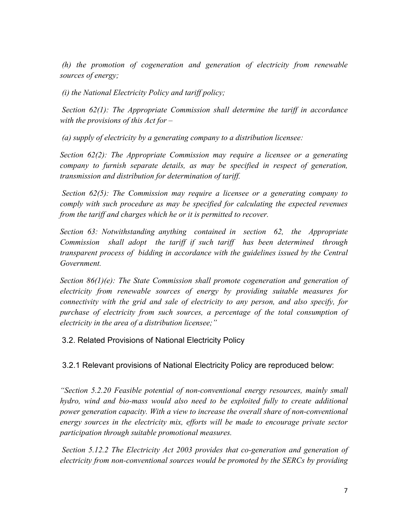(h) the promotion of cogeneration and generation of electricity from renewable sources of energy;

(i) the National Electricity Policy and tariff policy;

Section  $62(1)$ : The Appropriate Commission shall determine the tariff in accordance with the provisions of this  $Act$  for  $-$ 

(a) supply of electricity by a generating company to a distribution licensee:

Section 62(2): The Appropriate Commission may require a licensee or a generating company to furnish separate details, as may be specified in respect of generation, transmission and distribution for determination of tariff.

 Section 62(5): The Commission may require a licensee or a generating company to comply with such procedure as may be specified for calculating the expected revenues from the tariff and charges which he or it is permitted to recover.

Section 63: Notwithstanding anything contained in section 62, the Appropriate Commission shall adopt the tariff if such tariff has been determined through transparent process of bidding in accordance with the guidelines issued by the Central Government.

Section 86(1)(e): The State Commission shall promote cogeneration and generation of electricity from renewable sources of energy by providing suitable measures for connectivity with the grid and sale of electricity to any person, and also specify, for purchase of electricity from such sources, a percentage of the total consumption of electricity in the area of a distribution licensee;"

3.2. Related Provisions of National Electricity Policy

3.2.1 Relevant provisions of National Electricity Policy are reproduced below:

"Section 5.2.20 Feasible potential of non-conventional energy resources, mainly small hydro, wind and bio-mass would also need to be exploited fully to create additional power generation capacity. With a view to increase the overall share of non-conventional energy sources in the electricity mix, efforts will be made to encourage private sector participation through suitable promotional measures.

 Section 5.12.2 The Electricity Act 2003 provides that co-generation and generation of electricity from non-conventional sources would be promoted by the SERCs by providing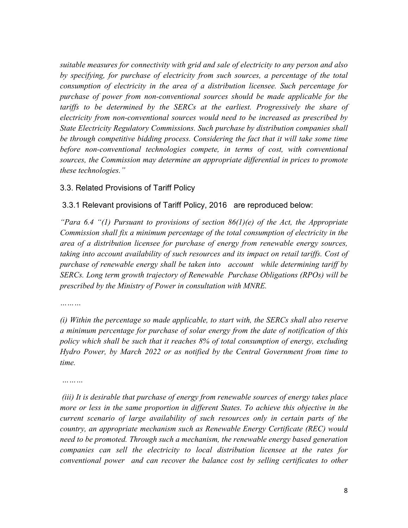suitable measures for connectivity with grid and sale of electricity to any person and also by specifying, for purchase of electricity from such sources, a percentage of the total consumption of electricity in the area of a distribution licensee. Such percentage for purchase of power from non-conventional sources should be made applicable for the tariffs to be determined by the SERCs at the earliest. Progressively the share of electricity from non-conventional sources would need to be increased as prescribed by State Electricity Regulatory Commissions. Such purchase by distribution companies shall be through competitive bidding process. Considering the fact that it will take some time before non-conventional technologies compete, in terms of cost, with conventional sources, the Commission may determine an appropriate differential in prices to promote these technologies."

## 3.3. Related Provisions of Tariff Policy

## 3.3.1 Relevant provisions of Tariff Policy, 2016 are reproduced below:

"Para 6.4 "(1) Pursuant to provisions of section  $86(1)(e)$  of the Act, the Appropriate Commission shall fix a minimum percentage of the total consumption of electricity in the area of a distribution licensee for purchase of energy from renewable energy sources, taking into account availability of such resources and its impact on retail tariffs. Cost of purchase of renewable energy shall be taken into account while determining tariff by SERCs. Long term growth trajectory of Renewable Purchase Obligations (RPOs) will be prescribed by the Ministry of Power in consultation with MNRE.

…………

(i) Within the percentage so made applicable, to start with, the SERCs shall also reserve a minimum percentage for purchase of solar energy from the date of notification of this policy which shall be such that it reaches 8% of total consumption of energy, excluding Hydro Power, by March 2022 or as notified by the Central Government from time to time.

………

 (iii) It is desirable that purchase of energy from renewable sources of energy takes place more or less in the same proportion in different States. To achieve this objective in the current scenario of large availability of such resources only in certain parts of the country, an appropriate mechanism such as Renewable Energy Certificate (REC) would need to be promoted. Through such a mechanism, the renewable energy based generation companies can sell the electricity to local distribution licensee at the rates for conventional power and can recover the balance cost by selling certificates to other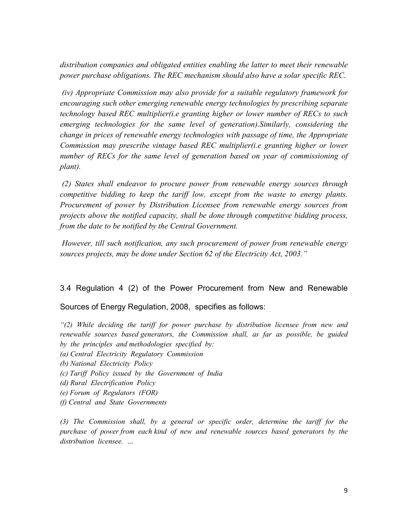distribution companies and obligated entities enabling the latter to meet their renewable power purchase obligations. The REC mechanism should also have a solar specific REC.

 (iv) Appropriate Commission may also provide for a suitable regulatory framework for encouraging such other emerging renewable energy technologies by prescribing separate technology based REC multiplier(i.e granting higher or lower number of RECs to such emerging technologies for the same level of generation).Similarly, considering the change in prices of renewable energy technologies with passage of time, the Appropriate Commission may prescribe vintage based REC multiplier(i.e granting higher or lower number of RECs for the same level of generation based on year of commissioning of plant).

 (2) States shall endeavor to procure power from renewable energy sources through competitive bidding to keep the tariff low, except from the waste to energy plants. Procurement of power by Distribution Licensee from renewable energy sources from projects above the notified capacity, shall be done through competitive bidding process, from the date to be notified by the Central Government.

 However, till such notification, any such procurement of power from renewable energy sources projects, may be done under Section 62 of the Electricity Act, 2003."

3.4 Regulation 4 (2) of the Power Procurement from New and Renewable

Sources of Energy Regulation, 2008, specifies as follows:

 $(2)$  While deciding the tariff for power purchase by distribution licensee from new and renewable sources based generators, the Commission shall, as far as possible, be guided by the principles and methodologies specified by:

- (a) Central Electricity Regulatory Commission
- (b) National Electricity Policy
- (c) Tariff Policy issued by the Government of India
- (d) Rural Electrification Policy
- (e) Forum of Regulators (FOR)
- (f) Central and State Governments

(3) The Commission shall, by a general or specific order, determine the tariff for the purchase of power from each kind of new and renewable sources based generators by the distribution licensee. …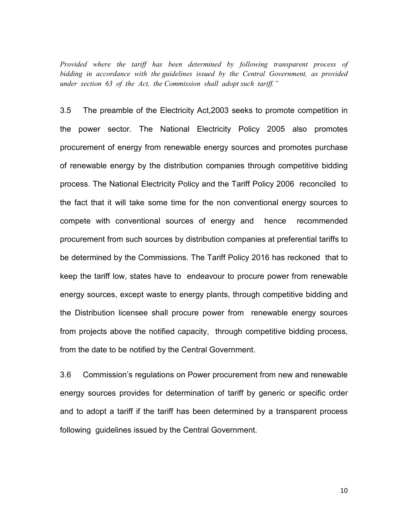Provided where the tariff has been determined by following transparent process of bidding in accordance with the guidelines issued by the Central Government, as provided under section 63 of the Act, the Commission shall adopt such tariff."

3.5 The preamble of the Electricity Act,2003 seeks to promote competition in the power sector. The National Electricity Policy 2005 also promotes procurement of energy from renewable energy sources and promotes purchase of renewable energy by the distribution companies through competitive bidding process. The National Electricity Policy and the Tariff Policy 2006 reconciled to the fact that it will take some time for the non conventional energy sources to compete with conventional sources of energy and hence recommended procurement from such sources by distribution companies at preferential tariffs to be determined by the Commissions. The Tariff Policy 2016 has reckoned that to keep the tariff low, states have to endeavour to procure power from renewable energy sources, except waste to energy plants, through competitive bidding and the Distribution licensee shall procure power from renewable energy sources from projects above the notified capacity, through competitive bidding process, from the date to be notified by the Central Government.

3.6 Commission's regulations on Power procurement from new and renewable energy sources provides for determination of tariff by generic or specific order and to adopt a tariff if the tariff has been determined by a transparent process following guidelines issued by the Central Government.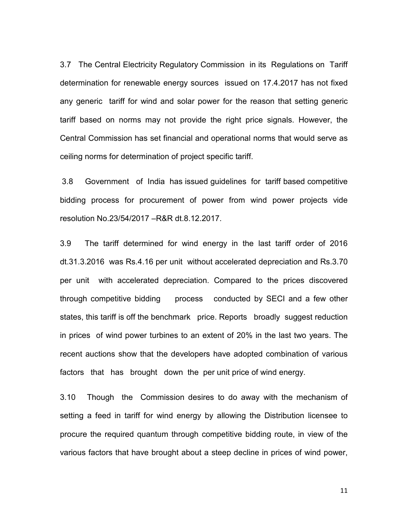3.7 The Central Electricity Regulatory Commission in its Regulations on Tariff determination for renewable energy sources issued on 17.4.2017 has not fixed any generic tariff for wind and solar power for the reason that setting generic tariff based on norms may not provide the right price signals. However, the Central Commission has set financial and operational norms that would serve as ceiling norms for determination of project specific tariff.

3.8 Government of India has issued guidelines for tariff based competitive bidding process for procurement of power from wind power projects vide resolution No.23/54/2017 –R&R dt.8.12.2017.

3.9 The tariff determined for wind energy in the last tariff order of 2016 dt.31.3.2016 was Rs.4.16 per unit without accelerated depreciation and Rs.3.70 per unit with accelerated depreciation. Compared to the prices discovered through competitive bidding process conducted by SECI and a few other states, this tariff is off the benchmark price. Reports broadly suggest reduction in prices of wind power turbines to an extent of 20% in the last two years. The recent auctions show that the developers have adopted combination of various factors that has brought down the per unit price of wind energy.

3.10 Though the Commission desires to do away with the mechanism of setting a feed in tariff for wind energy by allowing the Distribution licensee to procure the required quantum through competitive bidding route, in view of the various factors that have brought about a steep decline in prices of wind power,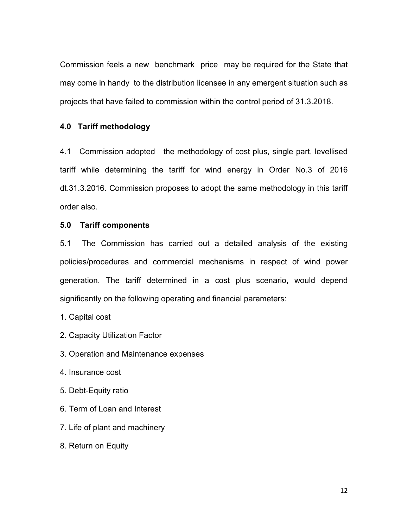Commission feels a new benchmark price may be required for the State that may come in handy to the distribution licensee in any emergent situation such as projects that have failed to commission within the control period of 31.3.2018.

### 4.0 Tariff methodology

4.1 Commission adopted the methodology of cost plus, single part, levellised tariff while determining the tariff for wind energy in Order No.3 of 2016 dt.31.3.2016. Commission proposes to adopt the same methodology in this tariff order also.

### 5.0 Tariff components

5.1 The Commission has carried out a detailed analysis of the existing policies/procedures and commercial mechanisms in respect of wind power generation. The tariff determined in a cost plus scenario, would depend significantly on the following operating and financial parameters:

- 1. Capital cost
- 2. Capacity Utilization Factor
- 3. Operation and Maintenance expenses
- 4. Insurance cost
- 5. Debt-Equity ratio
- 6. Term of Loan and Interest
- 7. Life of plant and machinery
- 8. Return on Equity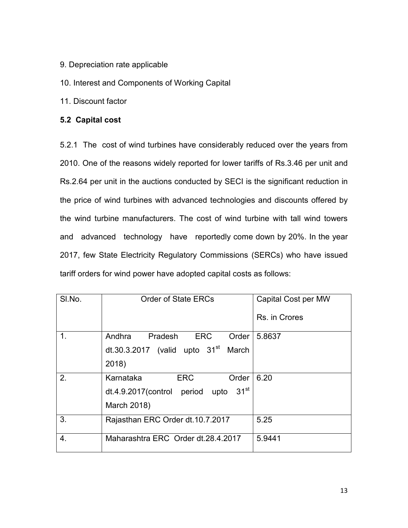9. Depreciation rate applicable

10. Interest and Components of Working Capital

11. Discount factor

## 5.2 Capital cost

5.2.1 The cost of wind turbines have considerably reduced over the years from 2010. One of the reasons widely reported for lower tariffs of Rs.3.46 per unit and Rs.2.64 per unit in the auctions conducted by SECI is the significant reduction in the price of wind turbines with advanced technologies and discounts offered by the wind turbine manufacturers. The cost of wind turbine with tall wind towers and advanced technology have reportedly come down by 20%. In the year 2017, few State Electricity Regulatory Commissions (SERCs) who have issued tariff orders for wind power have adopted capital costs as follows:

| SI.No. | <b>Order of State ERCs</b>                          | Capital Cost per MW |
|--------|-----------------------------------------------------|---------------------|
|        |                                                     | Rs. in Crores       |
| 1.     | Order<br>Andhra<br>Pradesh<br><b>ERC</b>            | 5.8637              |
|        | dt.30.3.2017 (valid upto $31st$ March               |                     |
|        | 2018)                                               |                     |
| 2.     | <b>ERC</b><br>Order<br>Karnataka                    | 6.20                |
|        | 31 <sup>st</sup><br>dt.4.9.2017(control period upto |                     |
|        | March 2018)                                         |                     |
| 3.     | Rajasthan ERC Order dt.10.7.2017                    | 5.25                |
| 4.     | Maharashtra ERC Order dt. 28.4.2017                 | 5.9441              |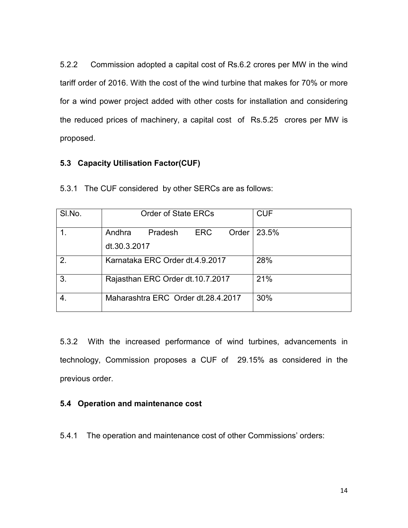5.2.2 Commission adopted a capital cost of Rs.6.2 crores per MW in the wind tariff order of 2016. With the cost of the wind turbine that makes for 70% or more for a wind power project added with other costs for installation and considering the reduced prices of machinery, a capital cost of Rs.5.25 crores per MW is proposed.

## 5.3 Capacity Utilisation Factor(CUF)

| SI.No.        | <b>Order of State ERCs</b>                                 | <b>CUF</b> |
|---------------|------------------------------------------------------------|------------|
|               | Andhra<br><b>ERC</b><br>Order  <br>Pradesh<br>dt.30.3.2017 | 23.5%      |
| $\mathcal{P}$ | Karnataka ERC Order dt.4.9.2017                            | 28%        |
| 3             | Rajasthan ERC Order dt.10.7.2017                           | 21%        |
|               | Maharashtra ERC Order dt.28.4.2017                         | 30%        |

5.3.1 The CUF considered by other SERCs are as follows:

5.3.2 With the increased performance of wind turbines, advancements in technology, Commission proposes a CUF of 29.15% as considered in the previous order.

## 5.4 Operation and maintenance cost

5.4.1 The operation and maintenance cost of other Commissions' orders: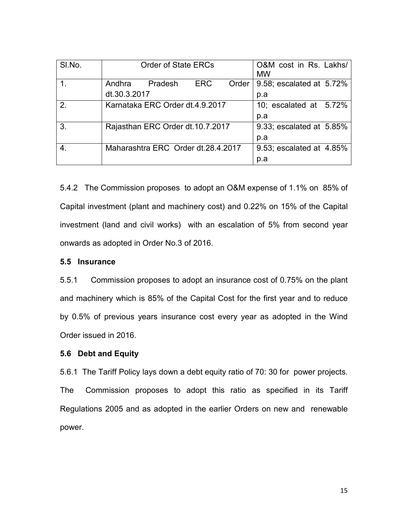| SI.No.         | <b>Order of State ERCs</b>         | O&M cost in Rs. Lakhs/<br><b>MW</b> |
|----------------|------------------------------------|-------------------------------------|
|                | ERC<br>Andhra Pradesh<br>Order     | 9.58; escalated at 5.72%            |
|                | dt.30.3.2017                       | p.a                                 |
| 2 <sub>1</sub> | Karnataka ERC Order dt.4.9.2017    | 10; escalated at 5.72%              |
|                |                                    | p.a                                 |
| 3.             | Rajasthan ERC Order dt.10.7.2017   | 9.33; escalated at 5.85%            |
|                |                                    | p.a                                 |
|                | Maharashtra ERC Order dt.28.4.2017 | 9.53; escalated at 4.85%            |
|                |                                    | p.a                                 |

5.4.2 The Commission proposes to adopt an O&M expense of 1.1% on 85% of Capital investment (plant and machinery cost) and 0.22% on 15% of the Capital investment (land and civil works) with an escalation of 5% from second year onwards as adopted in Order No.3 of 2016.

### 5.5 Insurance

5.5.1 Commission proposes to adopt an insurance cost of 0.75% on the plant and machinery which is 85% of the Capital Cost for the first year and to reduce by 0.5% of previous years insurance cost every year as adopted in the Wind Order issued in 2016.

### 5.6 Debt and Equity

5.6.1 The Tariff Policy lays down a debt equity ratio of 70: 30 for power projects. The Commission proposes to adopt this ratio as specified in its Tariff Regulations 2005 and as adopted in the earlier Orders on new and renewable power.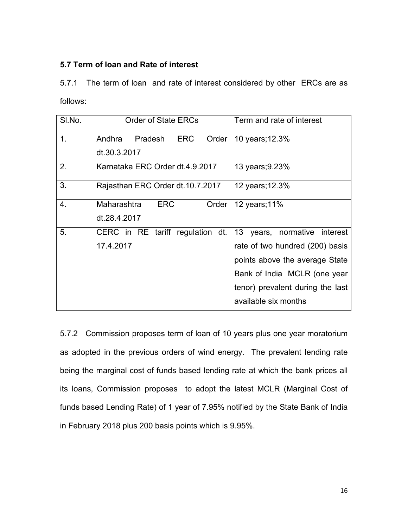## 5.7 Term of loan and Rate of interest

5.7.1 The term of loan and rate of interest considered by other ERCs are as follows:

| SI.No.         | <b>Order of State ERCs</b>               | Term and rate of interest          |
|----------------|------------------------------------------|------------------------------------|
| 1 <sub>1</sub> | <b>ERC</b><br>Andhra<br>Pradesh<br>Order | 10 years; 12.3%                    |
|                | dt.30.3.2017                             |                                    |
| 2.             | Karnataka ERC Order dt.4.9.2017          | 13 years; 9.23%                    |
| 3.             | Rajasthan ERC Order dt.10.7.2017         | 12 years; 12.3%                    |
| 4.             | <b>ERC</b><br>Maharashtra<br>Order       | 12 years; 11%                      |
|                | dt.28.4.2017                             |                                    |
| 5.             | CERC in RE tariff regulation dt.         | 13<br>years, normative<br>interest |
|                | 17.4.2017                                | rate of two hundred (200) basis    |
|                |                                          | points above the average State     |
|                |                                          | Bank of India MCLR (one year       |
|                |                                          | tenor) prevalent during the last   |
|                |                                          | available six months               |

5.7.2 Commission proposes term of loan of 10 years plus one year moratorium as adopted in the previous orders of wind energy. The prevalent lending rate being the marginal cost of funds based lending rate at which the bank prices all its loans, Commission proposes to adopt the latest MCLR (Marginal Cost of funds based Lending Rate) of 1 year of 7.95% notified by the State Bank of India in February 2018 plus 200 basis points which is 9.95%.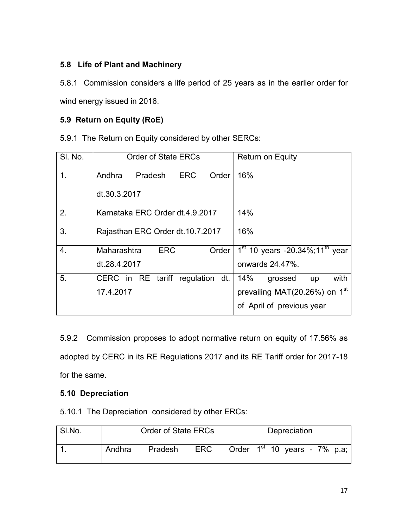## 5.8 Life of Plant and Machinery

5.8.1 Commission considers a life period of 25 years as in the earlier order for wind energy issued in 2016.

# 5.9 Return on Equity (RoE)

5.9.1 The Return on Equity considered by other SERCs:

| SI. No. | <b>Order of State ERCs</b>               | <b>Return on Equity</b>                         |
|---------|------------------------------------------|-------------------------------------------------|
| 1.      | <b>ERC</b><br>Andhra<br>Pradesh<br>Order | 16%                                             |
|         | dt.30.3.2017                             |                                                 |
| 2.      | Karnataka ERC Order dt.4.9.2017          | 14%                                             |
| 3.      | Rajasthan ERC Order dt.10.7.2017         | 16%                                             |
| 4.      | <b>ERC</b><br>Maharashtra<br>Order       | $1^{st}$ 10 years -20.34%;11 <sup>th</sup> year |
|         | dt.28.4.2017                             | onwards 24.47%.                                 |
| 5.      | CERC in RE tariff regulation dt.         | with<br>14%<br>grossed<br>up                    |
|         | 17.4.2017                                | prevailing MAT(20.26%) on 1 <sup>st</sup>       |
|         |                                          | of April of previous year                       |

5.9.2 Commission proposes to adopt normative return on equity of 17.56% as adopted by CERC in its RE Regulations 2017 and its RE Tariff order for 2017-18 for the same.

# 5.10 Depreciation

5.10.1 The Depreciation considered by other ERCs:

| SI.No. | <b>Order of State ERCs</b> |         |            |                                   | Depreciation |  |  |
|--------|----------------------------|---------|------------|-----------------------------------|--------------|--|--|
|        | Andhra                     | Pradesh | <b>ERC</b> | Order $1^{st}$ 10 years - 7% p.a; |              |  |  |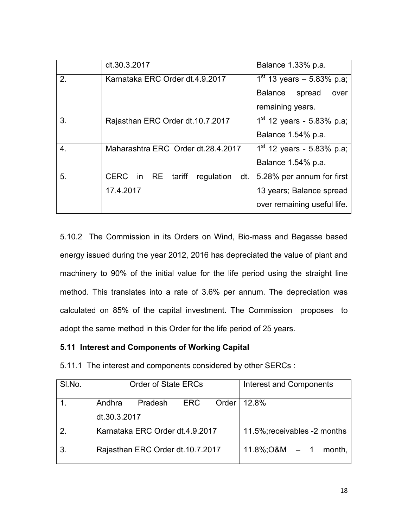|    | dt.30.3.2017                              | Balance 1.33% p.a.               |
|----|-------------------------------------------|----------------------------------|
| 2. | Karnataka ERC Order dt.4.9.2017           | $1^{st}$ 13 years - 5.83% p.a;   |
|    |                                           | <b>Balance</b><br>spread<br>over |
|    |                                           | remaining years.                 |
| 3. | Rajasthan ERC Order dt.10.7.2017          | $1st$ 12 years - 5.83% p.a;      |
|    |                                           | Balance 1.54% p.a.               |
| 4. | Maharashtra ERC Order dt.28.4.2017        | $1st$ 12 years - 5.83% p.a;      |
|    |                                           | Balance 1.54% p.a.               |
| 5. | CERC in RE<br>tariff<br>dt.<br>regulation | 5.28% per annum for first        |
|    | 17.4.2017                                 | 13 years; Balance spread         |
|    |                                           | over remaining useful life.      |

5.10.2 The Commission in its Orders on Wind, Bio-mass and Bagasse based energy issued during the year 2012, 2016 has depreciated the value of plant and machinery to 90% of the initial value for the life period using the straight line method. This translates into a rate of 3.6% per annum. The depreciation was calculated on 85% of the capital investment. The Commission proposes to adopt the same method in this Order for the life period of 25 years.

## 5.11 Interest and Components of Working Capital

5.11.1 The interest and components considered by other SERCs :

| SI.No.        | <b>Order of State ERCs</b>        | <b>Interest and Components</b> |
|---------------|-----------------------------------|--------------------------------|
|               | Andhra<br>ERC<br>Order<br>Pradesh | 12.8%                          |
|               | dt.30.3.2017                      |                                |
| $\mathcal{P}$ | Karnataka ERC Order dt.4.9.2017   | 11.5%; receivables -2 months   |
| $\mathbf{3}$  | Rajasthan ERC Order dt.10.7.2017  | $11.8\%$ : O&M $-1$<br>month.  |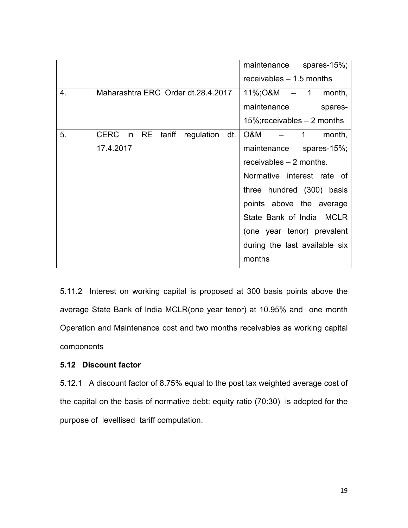|    |                                              | maintenance<br>spares-15%;       |
|----|----------------------------------------------|----------------------------------|
|    |                                              | receivables $-1.5$ months        |
| 4. | Maharashtra ERC Order dt.28.4.2017           | $11\%$ ; O&M $-$ 1 month,        |
|    |                                              | maintenance<br>spares-           |
|    |                                              | $15\%$ ; receivables $-2$ months |
| 5. | CERC in<br>RE<br>tariff<br>dt.<br>regulation | O&M<br>1<br>month,               |
|    | 17.4.2017                                    | maintenance spares-15%;          |
|    |                                              | receivables $-2$ months.         |
|    |                                              | Normative interest rate of       |
|    |                                              | three hundred (300) basis        |
|    |                                              | points above the average         |
|    |                                              | State Bank of India MCLR         |
|    |                                              | (one year tenor) prevalent       |
|    |                                              | during the last available six    |
|    |                                              | months                           |

5.11.2 Interest on working capital is proposed at 300 basis points above the average State Bank of India MCLR(one year tenor) at 10.95% and one month Operation and Maintenance cost and two months receivables as working capital components

## 5.12 Discount factor

5.12.1 A discount factor of 8.75% equal to the post tax weighted average cost of the capital on the basis of normative debt: equity ratio (70:30) is adopted for the purpose of levellised tariff computation.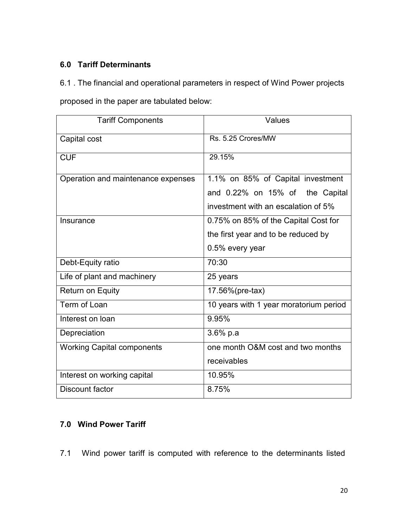# 6.0 Tariff Determinants

## 6.1 . The financial and operational parameters in respect of Wind Power projects

proposed in the paper are tabulated below:

| <b>Tariff Components</b>           | Values                                 |
|------------------------------------|----------------------------------------|
| Capital cost                       | Rs. 5.25 Crores/MW                     |
| <b>CUF</b>                         | 29.15%                                 |
| Operation and maintenance expenses | 1.1% on 85% of Capital investment      |
|                                    | and 0.22% on 15% of the Capital        |
|                                    | investment with an escalation of 5%    |
| Insurance                          | 0.75% on 85% of the Capital Cost for   |
|                                    | the first year and to be reduced by    |
|                                    | 0.5% every year                        |
| Debt-Equity ratio                  | 70:30                                  |
| Life of plant and machinery        | 25 years                               |
| Return on Equity                   | 17.56%(pre-tax)                        |
| Term of Loan                       | 10 years with 1 year moratorium period |
| Interest on loan                   | 9.95%                                  |
| Depreciation                       | $3.6%$ p.a                             |
| <b>Working Capital components</b>  | one month O&M cost and two months      |
|                                    | receivables                            |
| Interest on working capital        | 10.95%                                 |
| Discount factor                    | 8.75%                                  |

# 7.0 Wind Power Tariff

7.1 Wind power tariff is computed with reference to the determinants listed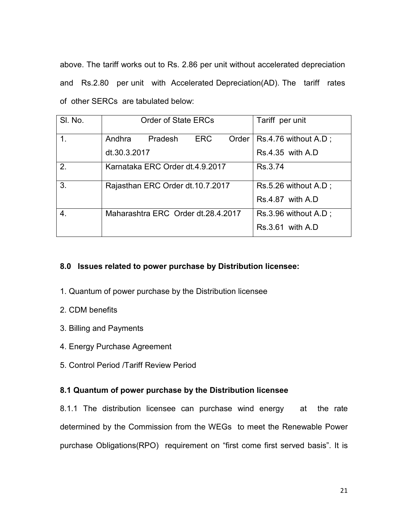above. The tariff works out to Rs. 2.86 per unit without accelerated depreciation and Rs.2.80 per unit with Accelerated Depreciation(AD). The tariff rates of other SERCs are tabulated below:

| SI. No. | <b>Order of State ERCs</b><br>Tariff per unit                      |
|---------|--------------------------------------------------------------------|
|         | Andhra Pradesh<br><b>ERC</b><br>$Rs.4.76$ without $A.D$ ;<br>Order |
|         | dt.30.3.2017<br>$Rs.4.35$ with $A.D$                               |
| 2.      | Karnataka ERC Order dt.4.9.2017<br>Rs.3.74                         |
| 3.      | Rajasthan ERC Order dt.10.7.2017<br>$Rs.5.26$ without $A.D$ ;      |
|         | $\text{Rs } 4.87$ with A.D.                                        |
| 4.      | Maharashtra ERC Order dt. 28.4.2017<br>Rs.3.96 without A.D;        |
|         | $Rs.3.61$ with $A.D$                                               |

## 8.0 Issues related to power purchase by Distribution licensee:

- 1. Quantum of power purchase by the Distribution licensee
- 2. CDM benefits
- 3. Billing and Payments
- 4. Energy Purchase Agreement
- 5. Control Period /Tariff Review Period

## 8.1 Quantum of power purchase by the Distribution licensee

8.1.1 The distribution licensee can purchase wind energy at the rate determined by the Commission from the WEGs to meet the Renewable Power purchase Obligations(RPO) requirement on "first come first served basis". It is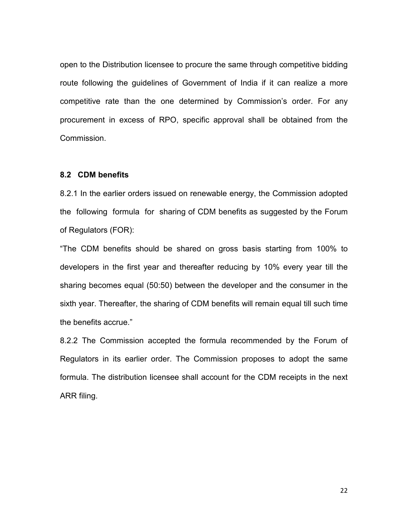open to the Distribution licensee to procure the same through competitive bidding route following the guidelines of Government of India if it can realize a more competitive rate than the one determined by Commission's order. For any procurement in excess of RPO, specific approval shall be obtained from the Commission.

#### 8.2 CDM benefits

8.2.1 In the earlier orders issued on renewable energy, the Commission adopted the following formula for sharing of CDM benefits as suggested by the Forum of Regulators (FOR):

"The CDM benefits should be shared on gross basis starting from 100% to developers in the first year and thereafter reducing by 10% every year till the sharing becomes equal (50:50) between the developer and the consumer in the sixth year. Thereafter, the sharing of CDM benefits will remain equal till such time the benefits accrue."

8.2.2 The Commission accepted the formula recommended by the Forum of Regulators in its earlier order. The Commission proposes to adopt the same formula. The distribution licensee shall account for the CDM receipts in the next ARR filing.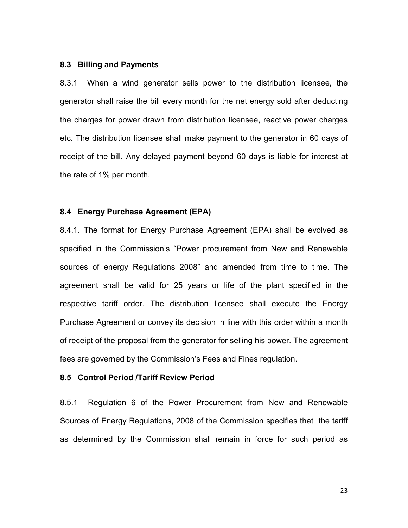#### 8.3 Billing and Payments

8.3.1 When a wind generator sells power to the distribution licensee, the generator shall raise the bill every month for the net energy sold after deducting the charges for power drawn from distribution licensee, reactive power charges etc. The distribution licensee shall make payment to the generator in 60 days of receipt of the bill. Any delayed payment beyond 60 days is liable for interest at the rate of 1% per month.

#### 8.4 Energy Purchase Agreement (EPA)

8.4.1. The format for Energy Purchase Agreement (EPA) shall be evolved as specified in the Commission's "Power procurement from New and Renewable sources of energy Regulations 2008" and amended from time to time. The agreement shall be valid for 25 years or life of the plant specified in the respective tariff order. The distribution licensee shall execute the Energy Purchase Agreement or convey its decision in line with this order within a month of receipt of the proposal from the generator for selling his power. The agreement fees are governed by the Commission's Fees and Fines regulation.

#### 8.5 Control Period /Tariff Review Period

8.5.1 Regulation 6 of the Power Procurement from New and Renewable Sources of Energy Regulations, 2008 of the Commission specifies that the tariff as determined by the Commission shall remain in force for such period as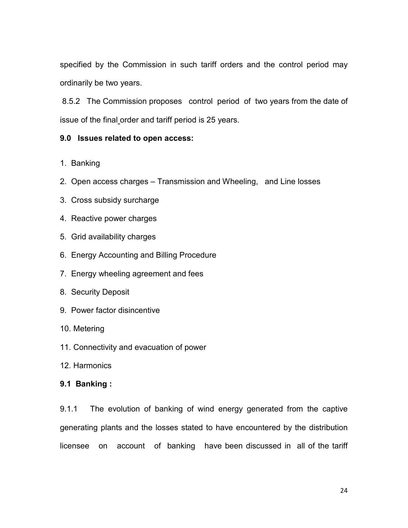specified by the Commission in such tariff orders and the control period may ordinarily be two years.

 8.5.2 The Commission proposes control period of two years from the date of issue of the final order and tariff period is 25 years.

### 9.0 Issues related to open access:

- 1. Banking
- 2. Open access charges Transmission and Wheeling, and Line losses
- 3. Cross subsidy surcharge
- 4. Reactive power charges
- 5. Grid availability charges
- 6. Energy Accounting and Billing Procedure
- 7. Energy wheeling agreement and fees
- 8. Security Deposit
- 9. Power factor disincentive
- 10. Metering
- 11. Connectivity and evacuation of power
- 12. Harmonics

### 9.1 Banking :

9.1.1 The evolution of banking of wind energy generated from the captive generating plants and the losses stated to have encountered by the distribution licensee on account of banking have been discussed in all of the tariff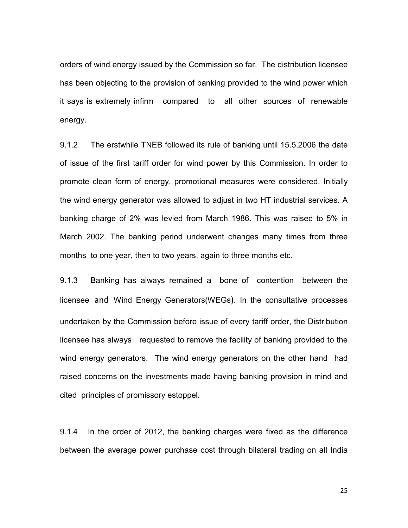orders of wind energy issued by the Commission so far. The distribution licensee has been objecting to the provision of banking provided to the wind power which it says is extremely infirm compared to all other sources of renewable energy.

9.1.2 The erstwhile TNEB followed its rule of banking until 15.5.2006 the date of issue of the first tariff order for wind power by this Commission. In order to promote clean form of energy, promotional measures were considered. Initially the wind energy generator was allowed to adjust in two HT industrial services. A banking charge of 2% was levied from March 1986. This was raised to 5% in March 2002. The banking period underwent changes many times from three months to one year, then to two years, again to three months etc.

9.1.3 Banking has always remained a bone of contention between the licensee and Wind Energy Generators(WEGs). In the consultative processes undertaken by the Commission before issue of every tariff order, the Distribution licensee has always requested to remove the facility of banking provided to the wind energy generators. The wind energy generators on the other hand had raised concerns on the investments made having banking provision in mind and cited principles of promissory estoppel.

9.1.4 In the order of 2012, the banking charges were fixed as the difference between the average power purchase cost through bilateral trading on all India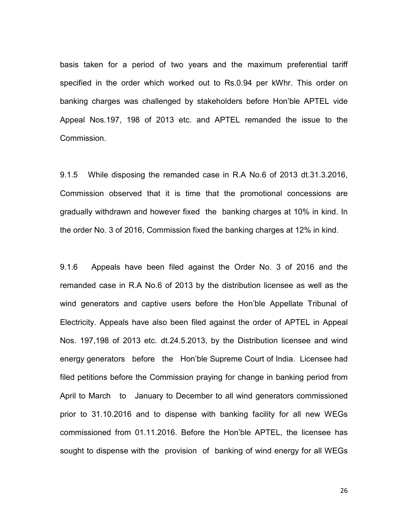basis taken for a period of two years and the maximum preferential tariff specified in the order which worked out to Rs.0.94 per kWhr. This order on banking charges was challenged by stakeholders before Hon'ble APTEL vide Appeal Nos.197, 198 of 2013 etc. and APTEL remanded the issue to the Commission.

9.1.5 While disposing the remanded case in R.A No.6 of 2013 dt.31.3.2016, Commission observed that it is time that the promotional concessions are gradually withdrawn and however fixed the banking charges at 10% in kind. In the order No. 3 of 2016, Commission fixed the banking charges at 12% in kind.

9.1.6 Appeals have been filed against the Order No. 3 of 2016 and the remanded case in R.A No.6 of 2013 by the distribution licensee as well as the wind generators and captive users before the Hon'ble Appellate Tribunal of Electricity. Appeals have also been filed against the order of APTEL in Appeal Nos. 197,198 of 2013 etc. dt.24.5.2013, by the Distribution licensee and wind energy generators before the Hon'ble Supreme Court of India. Licensee had filed petitions before the Commission praying for change in banking period from April to March to January to December to all wind generators commissioned prior to 31.10.2016 and to dispense with banking facility for all new WEGs commissioned from 01.11.2016. Before the Hon'ble APTEL, the licensee has sought to dispense with the provision of banking of wind energy for all WEGs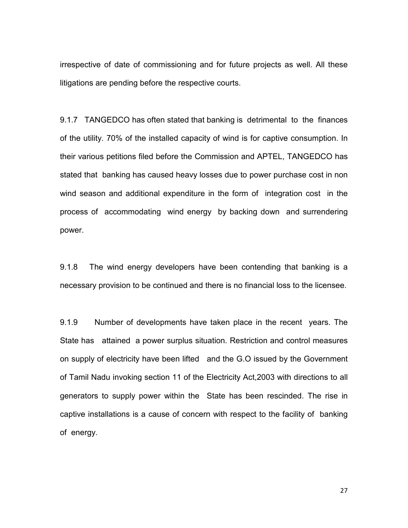irrespective of date of commissioning and for future projects as well. All these litigations are pending before the respective courts.

9.1.7 TANGEDCO has often stated that banking is detrimental to the finances of the utility. 70% of the installed capacity of wind is for captive consumption. In their various petitions filed before the Commission and APTEL, TANGEDCO has stated that banking has caused heavy losses due to power purchase cost in non wind season and additional expenditure in the form of integration cost in the process of accommodating wind energy by backing down and surrendering power.

9.1.8 The wind energy developers have been contending that banking is a necessary provision to be continued and there is no financial loss to the licensee.

9.1.9 Number of developments have taken place in the recent years. The State has attained a power surplus situation. Restriction and control measures on supply of electricity have been lifted and the G.O issued by the Government of Tamil Nadu invoking section 11 of the Electricity Act,2003 with directions to all generators to supply power within the State has been rescinded. The rise in captive installations is a cause of concern with respect to the facility of banking of energy.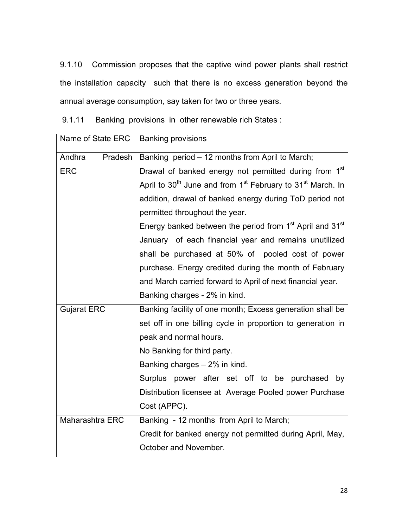9.1.10 Commission proposes that the captive wind power plants shall restrict the installation capacity such that there is no excess generation beyond the annual average consumption, say taken for two or three years.

9.1.11 Banking provisions in other renewable rich States :

| Name of State ERC  | <b>Banking provisions</b>                                                                      |  |  |
|--------------------|------------------------------------------------------------------------------------------------|--|--|
| Andhra<br>Pradesh  | Banking period - 12 months from April to March;                                                |  |  |
| <b>ERC</b>         | Drawal of banked energy not permitted during from 1 <sup>st</sup>                              |  |  |
|                    | April to 30 <sup>th</sup> June and from 1 <sup>st</sup> February to 31 <sup>st</sup> March. In |  |  |
|                    | addition, drawal of banked energy during ToD period not                                        |  |  |
|                    | permitted throughout the year.                                                                 |  |  |
|                    | Energy banked between the period from 1 <sup>st</sup> April and 31 <sup>st</sup>               |  |  |
|                    | January of each financial year and remains unutilized                                          |  |  |
|                    | shall be purchased at 50% of pooled cost of power                                              |  |  |
|                    | purchase. Energy credited during the month of February                                         |  |  |
|                    | and March carried forward to April of next financial year.                                     |  |  |
|                    | Banking charges - 2% in kind.                                                                  |  |  |
| <b>Gujarat ERC</b> | Banking facility of one month; Excess generation shall be                                      |  |  |
|                    | set off in one billing cycle in proportion to generation in                                    |  |  |
|                    | peak and normal hours.                                                                         |  |  |
|                    | No Banking for third party.                                                                    |  |  |
|                    | Banking charges - 2% in kind.                                                                  |  |  |
|                    | Surplus power after set off to be purchased<br>by                                              |  |  |
|                    | Distribution licensee at Average Pooled power Purchase                                         |  |  |
|                    | Cost (APPC).                                                                                   |  |  |
| Maharashtra ERC    | Banking - 12 months from April to March;                                                       |  |  |
|                    | Credit for banked energy not permitted during April, May,                                      |  |  |
|                    | October and November.                                                                          |  |  |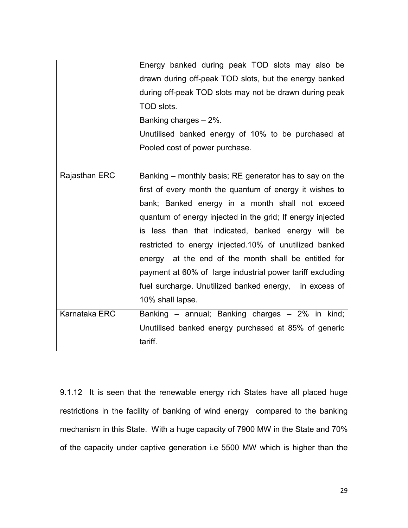|               | Energy banked during peak TOD slots may also be<br>drawn during off-peak TOD slots, but the energy banked<br>during off-peak TOD slots may not be drawn during peak<br>TOD slots.<br>Banking charges - 2%.<br>Unutilised banked energy of 10% to be purchased at<br>Pooled cost of power purchase.                                                                                                                                                                                                                                                     |
|---------------|--------------------------------------------------------------------------------------------------------------------------------------------------------------------------------------------------------------------------------------------------------------------------------------------------------------------------------------------------------------------------------------------------------------------------------------------------------------------------------------------------------------------------------------------------------|
| Rajasthan ERC | Banking – monthly basis; RE generator has to say on the<br>first of every month the quantum of energy it wishes to<br>bank; Banked energy in a month shall not exceed<br>quantum of energy injected in the grid; If energy injected<br>is less than that indicated, banked energy will be<br>restricted to energy injected.10% of unutilized banked<br>energy at the end of the month shall be entitled for<br>payment at 60% of large industrial power tariff excluding<br>fuel surcharge. Unutilized banked energy, in excess of<br>10% shall lapse. |
| Karnataka ERC | Banking – annual; Banking charges – 2% in kind;<br>Unutilised banked energy purchased at 85% of generic<br>tariff.                                                                                                                                                                                                                                                                                                                                                                                                                                     |

9.1.12 It is seen that the renewable energy rich States have all placed huge restrictions in the facility of banking of wind energy compared to the banking mechanism in this State. With a huge capacity of 7900 MW in the State and 70% of the capacity under captive generation i.e 5500 MW which is higher than the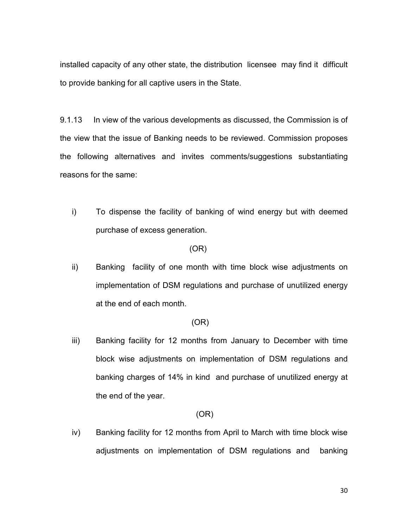installed capacity of any other state, the distribution licensee may find it difficult to provide banking for all captive users in the State.

9.1.13 In view of the various developments as discussed, the Commission is of the view that the issue of Banking needs to be reviewed. Commission proposes the following alternatives and invites comments/suggestions substantiating reasons for the same:

i) To dispense the facility of banking of wind energy but with deemed purchase of excess generation.

#### (OR)

ii) Banking facility of one month with time block wise adjustments on implementation of DSM regulations and purchase of unutilized energy at the end of each month.

#### (OR)

iii) Banking facility for 12 months from January to December with time block wise adjustments on implementation of DSM regulations and banking charges of 14% in kind and purchase of unutilized energy at the end of the year.

### (OR)

iv) Banking facility for 12 months from April to March with time block wise adjustments on implementation of DSM regulations and banking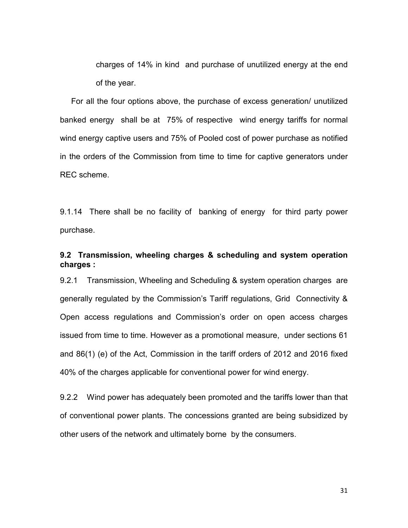charges of 14% in kind and purchase of unutilized energy at the end of the year.

 For all the four options above, the purchase of excess generation/ unutilized banked energy shall be at 75% of respective wind energy tariffs for normal wind energy captive users and 75% of Pooled cost of power purchase as notified in the orders of the Commission from time to time for captive generators under REC scheme.

9.1.14 There shall be no facility of banking of energy for third party power purchase.

## 9.2 Transmission, wheeling charges & scheduling and system operation charges :

9.2.1 Transmission, Wheeling and Scheduling & system operation charges are generally regulated by the Commission's Tariff regulations, Grid Connectivity & Open access regulations and Commission's order on open access charges issued from time to time. However as a promotional measure, under sections 61 and 86(1) (e) of the Act, Commission in the tariff orders of 2012 and 2016 fixed 40% of the charges applicable for conventional power for wind energy.

9.2.2 Wind power has adequately been promoted and the tariffs lower than that of conventional power plants. The concessions granted are being subsidized by other users of the network and ultimately borne by the consumers.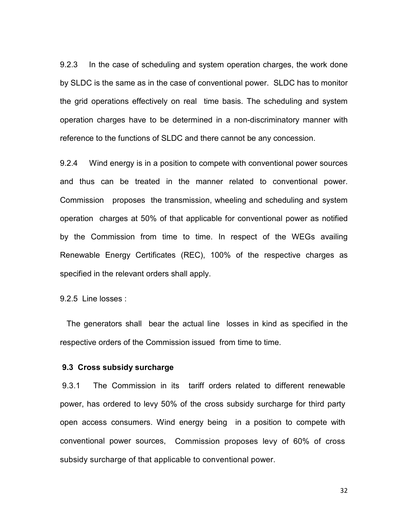9.2.3 In the case of scheduling and system operation charges, the work done by SLDC is the same as in the case of conventional power. SLDC has to monitor the grid operations effectively on real time basis. The scheduling and system operation charges have to be determined in a non-discriminatory manner with reference to the functions of SLDC and there cannot be any concession.

9.2.4 Wind energy is in a position to compete with conventional power sources and thus can be treated in the manner related to conventional power. Commission proposes the transmission, wheeling and scheduling and system operation charges at 50% of that applicable for conventional power as notified by the Commission from time to time. In respect of the WEGs availing Renewable Energy Certificates (REC), 100% of the respective charges as specified in the relevant orders shall apply.

9.2.5 Line losses :

 The generators shall bear the actual line losses in kind as specified in the respective orders of the Commission issued from time to time.

### 9.3 Cross subsidy surcharge

 9.3.1 The Commission in its tariff orders related to different renewable power, has ordered to levy 50% of the cross subsidy surcharge for third party open access consumers. Wind energy being in a position to compete with conventional power sources, Commission proposes levy of 60% of cross subsidy surcharge of that applicable to conventional power.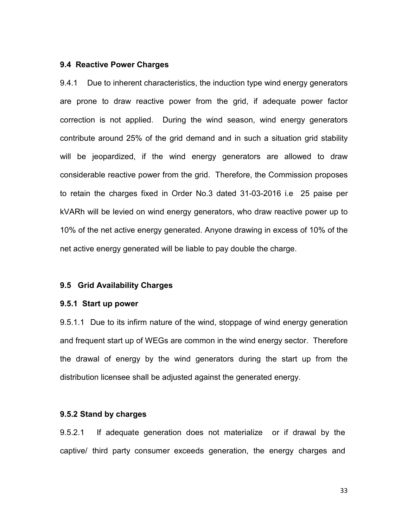#### 9.4 Reactive Power Charges

9.4.1 Due to inherent characteristics, the induction type wind energy generators are prone to draw reactive power from the grid, if adequate power factor correction is not applied. During the wind season, wind energy generators contribute around 25% of the grid demand and in such a situation grid stability will be jeopardized, if the wind energy generators are allowed to draw considerable reactive power from the grid. Therefore, the Commission proposes to retain the charges fixed in Order No.3 dated 31-03-2016 i.e 25 paise per kVARh will be levied on wind energy generators, who draw reactive power up to 10% of the net active energy generated. Anyone drawing in excess of 10% of the net active energy generated will be liable to pay double the charge.

#### 9.5 Grid Availability Charges

#### 9.5.1 Start up power

9.5.1.1 Due to its infirm nature of the wind, stoppage of wind energy generation and frequent start up of WEGs are common in the wind energy sector. Therefore the drawal of energy by the wind generators during the start up from the distribution licensee shall be adjusted against the generated energy.

### 9.5.2 Stand by charges

9.5.2.1 If adequate generation does not materialize or if drawal by the captive/ third party consumer exceeds generation, the energy charges and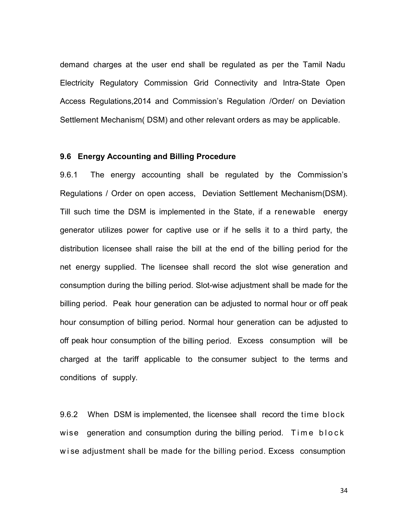demand charges at the user end shall be regulated as per the Tamil Nadu Electricity Regulatory Commission Grid Connectivity and Intra-State Open Access Regulations,2014 and Commission's Regulation /Order/ on Deviation Settlement Mechanism( DSM) and other relevant orders as may be applicable.

#### 9.6 Energy Accounting and Billing Procedure

9.6.1 The energy accounting shall be regulated by the Commission's Regulations / Order on open access, Deviation Settlement Mechanism(DSM). Till such time the DSM is implemented in the State, if a renewable energy generator utilizes power for captive use or if he sells it to a third party, the distribution licensee shall raise the bill at the end of the billing period for the net energy supplied. The licensee shall record the slot wise generation and consumption during the billing period. Slot-wise adjustment shall be made for the billing period. Peak hour generation can be adjusted to normal hour or off peak hour consumption of billing period. Normal hour generation can be adjusted to off peak hour consumption of the billing period. Excess consumption will be charged at the tariff applicable to the consumer subject to the terms and conditions of supply.

9.6.2 When DSM is implemented, the licensee shall record the time block wise generation and consumption during the billing period. Time  $block$ ken w ise adjustment shall be made for the billing period. Excess consumption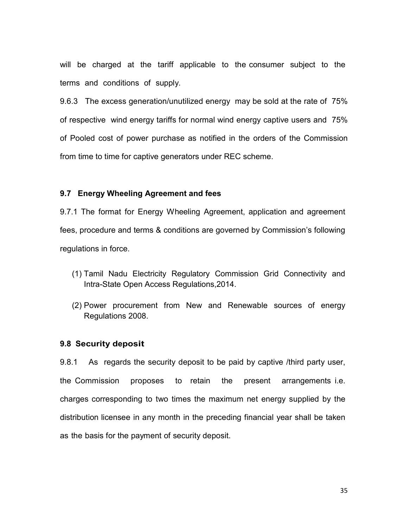will be charged at the tariff applicable to the consumer subject to the terms and conditions of supply.

9.6.3 The excess generation/unutilized energy may be sold at the rate of 75% of respective wind energy tariffs for normal wind energy captive users and 75% of Pooled cost of power purchase as notified in the orders of the Commission from time to time for captive generators under REC scheme.

#### 9.7 Energy Wheeling Agreement and fees

9.7.1 The format for Energy Wheeling Agreement, application and agreement fees, procedure and terms & conditions are governed by Commission's following regulations in force.

- (1) Tamil Nadu Electricity Regulatory Commission Grid Connectivity and Intra-State Open Access Regulations,2014.
- (2) Power procurement from New and Renewable sources of energy Regulations 2008.

#### 9.8 Security deposit

9.8.1 As regards the security deposit to be paid by captive /third party user, the Commission proposes to retain the present arrangements i.e. charges corresponding to two times the maximum net energy supplied by the distribution licensee in any month in the preceding financial year shall be taken as the basis for the payment of security deposit.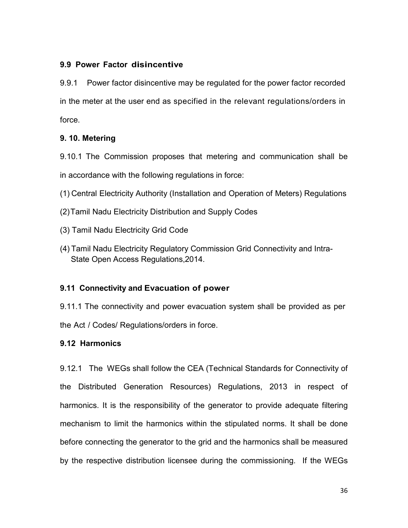## 9.9 Power Factor disincentive

9.9.1 Power factor disincentive may be regulated for the power factor recorded in the meter at the user end as specified in the relevant regulations/orders in force.

## 9. 10. Metering

9.10.1 The Commission proposes that metering and communication shall be in accordance with the following regulations in force:

(1) Central Electricity Authority (Installation and Operation of Meters) Regulations

- (2) Tamil Nadu Electricity Distribution and Supply Codes
- (3) Tamil Nadu Electricity Grid Code
- (4) Tamil Nadu Electricity Regulatory Commission Grid Connectivity and Intra- State Open Access Regulations,2014.

## 9.11 Connectivity and Evacuation of power

9.11.1 The connectivity and power evacuation system shall be provided as per the Act / Codes/ Regulations/orders in force.

## 9.12 Harmonics

9.12.1 The WEGs shall follow the CEA (Technical Standards for Connectivity of the Distributed Generation Resources) Regulations, 2013 in respect of harmonics. It is the responsibility of the generator to provide adequate filtering mechanism to limit the harmonics within the stipulated norms. It shall be done before connecting the generator to the grid and the harmonics shall be measured by the respective distribution licensee during the commissioning. If the WEGs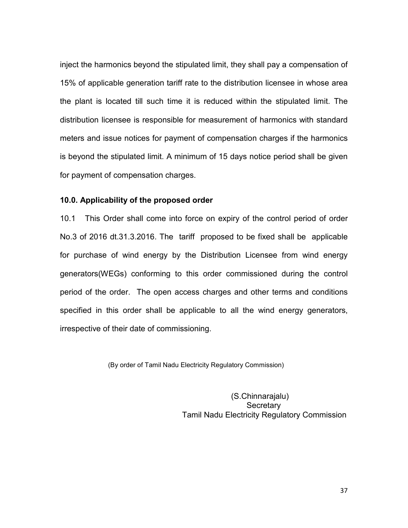inject the harmonics beyond the stipulated limit, they shall pay a compensation of 15% of applicable generation tariff rate to the distribution licensee in whose area the plant is located till such time it is reduced within the stipulated limit. The distribution licensee is responsible for measurement of harmonics with standard meters and issue notices for payment of compensation charges if the harmonics is beyond the stipulated limit. A minimum of 15 days notice period shall be given for payment of compensation charges.

#### 10.0. Applicability of the proposed order

10.1 This Order shall come into force on expiry of the control period of order No.3 of 2016 dt.31.3.2016. The tariff proposed to be fixed shall be applicable for purchase of wind energy by the Distribution Licensee from wind energy generators(WEGs) conforming to this order commissioned during the control period of the order. The open access charges and other terms and conditions specified in this order shall be applicable to all the wind energy generators, irrespective of their date of commissioning.

(By order of Tamil Nadu Electricity Regulatory Commission)

 (S.Chinnarajalu) **Secretary** Tamil Nadu Electricity Regulatory Commission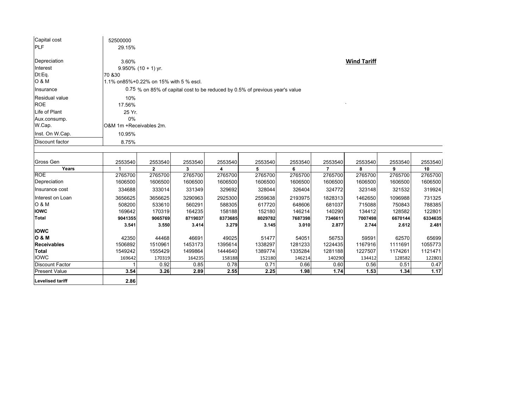| Capital cost            | 52500000                                                                     |              |         |         |         |         |                |         |         |         |  |  |  |
|-------------------------|------------------------------------------------------------------------------|--------------|---------|---------|---------|---------|----------------|---------|---------|---------|--|--|--|
| <b>PLF</b>              | 29.15%                                                                       |              |         |         |         |         |                |         |         |         |  |  |  |
| Depreciation            | <b>Wind Tariff</b><br>3.60%                                                  |              |         |         |         |         |                |         |         |         |  |  |  |
| Interest                | $9.950\%$ (10 + 1) yr.                                                       |              |         |         |         |         |                |         |         |         |  |  |  |
| Dt:Eq.                  | 70 & 30                                                                      |              |         |         |         |         |                |         |         |         |  |  |  |
| O & M                   | 1.1% on85%+0.22% on 15% with 5 % escl.                                       |              |         |         |         |         |                |         |         |         |  |  |  |
| Insurance               | 0.75 % on 85% of capital cost to be reduced by 0.5% of previous year's value |              |         |         |         |         |                |         |         |         |  |  |  |
| Residual value          | 10%                                                                          |              |         |         |         |         |                |         |         |         |  |  |  |
| <b>ROE</b>              | 17.56%                                                                       |              |         |         |         |         |                |         |         |         |  |  |  |
| Life of Plant           | 25 Yr.                                                                       |              |         |         |         |         |                |         |         |         |  |  |  |
| Aux.consump.            | 0%                                                                           |              |         |         |         |         |                |         |         |         |  |  |  |
| W.Cap.                  | O&M 1m +Receivables 2m.                                                      |              |         |         |         |         |                |         |         |         |  |  |  |
| Inst. On W.Cap.         | 10.95%                                                                       |              |         |         |         |         |                |         |         |         |  |  |  |
| Discount factor         | 8.75%                                                                        |              |         |         |         |         |                |         |         |         |  |  |  |
|                         |                                                                              |              |         |         |         |         |                |         |         |         |  |  |  |
| Gross Gen               | 2553540                                                                      | 2553540      | 2553540 | 2553540 | 2553540 | 2553540 | 2553540        | 2553540 | 2553540 | 2553540 |  |  |  |
| Years                   |                                                                              | $\mathbf{2}$ | 3       | 4       | 5       | 6       | $\overline{7}$ | 8       | 9       | 10      |  |  |  |
| <b>ROE</b>              | 2765700                                                                      | 2765700      | 2765700 | 2765700 | 2765700 | 2765700 | 2765700        | 2765700 | 2765700 | 2765700 |  |  |  |
| Depreciation            | 1606500                                                                      | 1606500      | 1606500 | 1606500 | 1606500 | 1606500 | 1606500        | 1606500 | 1606500 | 1606500 |  |  |  |
| Insurance cost          | 334688                                                                       | 333014       | 331349  | 329692  | 328044  | 326404  | 324772         | 323148  | 321532  | 319924  |  |  |  |
| Interest on Loan        | 3656625                                                                      | 3656625      | 3290963 | 2925300 | 2559638 | 2193975 | 1828313        | 1462650 | 1096988 | 731325  |  |  |  |
| O & M                   | 508200                                                                       | 533610       | 560291  | 588305  | 617720  | 648606  | 681037         | 715088  | 750843  | 788385  |  |  |  |
| <b>IOWC</b>             | 169642                                                                       | 170319       | 164235  | 158188  | 152180  | 146214  | 140290         | 134412  | 128582  | 122801  |  |  |  |
| Total                   | 9041355                                                                      | 9065769      | 8719037 | 8373685 | 8029782 | 7687398 | 7346611        | 7007498 | 6670144 | 6334635 |  |  |  |
|                         | 3.541                                                                        | 3.550        | 3.414   | 3.279   | 3.145   | 3.010   | 2.877          | 2.744   | 2.612   | 2.481   |  |  |  |
| <b>IOWC</b>             |                                                                              |              |         |         |         |         |                |         |         |         |  |  |  |
| <b>O &amp; M</b>        | 42350                                                                        | 44468        | 46691   | 49025   | 51477   | 54051   | 56753          | 59591   | 62570   | 65699   |  |  |  |
| <b>Receivables</b>      | 1506892                                                                      | 1510961      | 1453173 | 1395614 | 1338297 | 1281233 | 1224435        | 1167916 | 1111691 | 1055773 |  |  |  |
| <b>Total</b>            | 1549242                                                                      | 1555429      | 1499864 | 1444640 | 1389774 | 1335284 | 1281188        | 1227507 | 1174261 | 1121471 |  |  |  |
| <b>IOWC</b>             | 169642                                                                       | 170319       | 164235  | 158188  | 152180  | 146214  | 140290         | 134412  | 128582  | 122801  |  |  |  |
| <b>Discount Factor</b>  |                                                                              | 0.92         | 0.85    | 0.78    | 0.71    | 0.66    | 0.60           | 0.56    | 0.51    | 0.47    |  |  |  |
| <b>Present Value</b>    | 3.54                                                                         | 3.26         | 2.89    | 2.55    | 2.25    | 1.98    | 1.74           | 1.53    | 1.34    | 1.17    |  |  |  |
| <b>Levelised tariff</b> | 2.86                                                                         |              |         |         |         |         |                |         |         |         |  |  |  |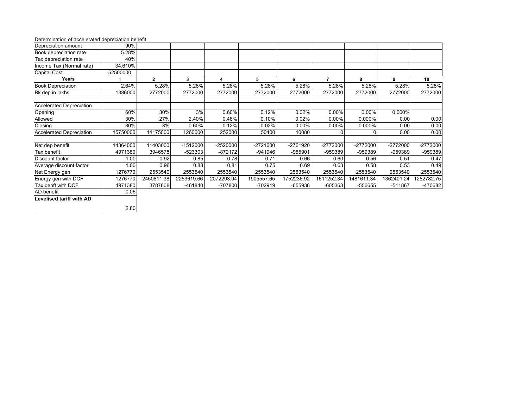#### Determination of accelerated depreciation benefit

| Depreciation amount             | 90%      |              |            |            |            |            |                          |            |            |            |
|---------------------------------|----------|--------------|------------|------------|------------|------------|--------------------------|------------|------------|------------|
| Book depreciation rate          | 5.28%    |              |            |            |            |            |                          |            |            |            |
| Tax depreciation rate           | 40%      |              |            |            |            |            |                          |            |            |            |
| Income Tax (Normal rate)        | 34.610%  |              |            |            |            |            |                          |            |            |            |
| <b>Capital Cost</b>             | 52500000 |              |            |            |            |            |                          |            |            |            |
| Years                           |          | $\mathbf{2}$ | 3          | 4          | 5          | 6          | $\overline{\phantom{a}}$ | 8          | 9          | 10         |
| <b>Book Depreciation</b>        | 2.64%    | 5.28%        | 5.28%      | 5.28%      | 5.28%      | 5.28%      | 5.28%                    | 5.28%      | 5.28%      | 5.28%      |
| Bk dep in lakhs                 | 386000   | 2772000      | 2772000    | 2772000    | 2772000    | 2772000    | 2772000                  | 2772000    | 2772000    | 2772000    |
| <b>Accelerated Depreciation</b> |          |              |            |            |            |            |                          |            |            |            |
| Opening                         | 60%      | 30%          | 3%         | 0.60%      | 0.12%      | 0.02%      | 0.00%                    | $0.00\%$   | $0.000\%$  |            |
| Allowed                         | 30%      | 27%          | 2.40%      | 0.48%      | 0.10%      | 0.02%      | 0.00%                    | 0.000%     | 0.00       | 0.00       |
| Closing                         | 30%      | 3%           | 0.60%      | 0.12%      | 0.02%      | $0.00\%$   | $0.00\%$                 | 0.000%     | 0.00       | 0.00       |
| <b>Accelerated Depreciation</b> | 15750000 | 14175000     | 1260000    | 252000     | 50400      | 10080      | 0                        | $\Omega$   | 0.00       | 0.00       |
| Net dep benefit                 | 14364000 | 11403000     | $-1512000$ | -2520000   | $-2721600$ | -2761920   | -2772000                 | -2772000   | $-2772000$ | -2772000   |
| Tax benefit                     | 4971380  | 3946578      | -523303    | $-872172$  | -941946    | $-955901$  | -959389                  | -959389    | $-959389$  | -959389    |
| Discount factor                 | 1.00     | 0.92         | 0.85       | 0.78       | 0.71       | 0.66       | 0.60                     | 0.56       | 0.51       | 0.47       |
| Average discount factor         | 1.00     | 0.96         | 0.88       | 0.81       | 0.75       | 0.69       | 0.63                     | 0.58       | 0.53       | 0.49       |
| Net Energy gen                  | 1276770  | 2553540      | 2553540    | 2553540    | 2553540    | 2553540    | 2553540                  | 2553540    | 2553540    | 2553540    |
| Energy gen with DCF             | 1276770  | 2450811.38   | 2253619.66 | 2072293.94 | 1905557.65 | 1752236.92 | 1611252.34               | 1481611.34 | 1362401.24 | 1252782.75 |
| Tax benft with DCF              | 4971380  | 3787808      | $-461840$  | $-707800$  | -702919    | $-655938$  | $-605363$                | $-556655$  | $-511867$  | -470682    |
| AD benefit                      | 0.06     |              |            |            |            |            |                          |            |            |            |
| <b>Levelised tariff with AD</b> |          |              |            |            |            |            |                          |            |            |            |
|                                 | 2.80     |              |            |            |            |            |                          |            |            |            |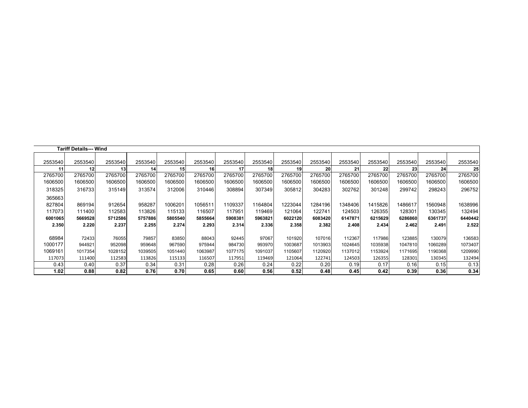| <b>Tariff Details--- Wind</b> |         |                 |         |         |         |         |         |         |         |         |         |                 |         |         |
|-------------------------------|---------|-----------------|---------|---------|---------|---------|---------|---------|---------|---------|---------|-----------------|---------|---------|
| 2553540                       | 2553540 | 2553540         | 2553540 | 2553540 | 2553540 | 2553540 | 2553540 | 2553540 | 2553540 | 2553540 | 2553540 | 2553540         | 2553540 | 2553540 |
| 11                            | 12      | 13 <sup>1</sup> | 14      | 15      | 16      | 17      | 18      | 19      | 20      | 21      | 22      | 23 <sub>l</sub> | 24      | 25      |
| 2765700                       | 2765700 | 2765700         | 2765700 | 2765700 | 2765700 | 2765700 | 2765700 | 2765700 | 2765700 | 2765700 | 2765700 | 2765700         | 2765700 | 2765700 |
|                               |         |                 |         |         |         |         |         |         |         |         |         |                 |         |         |
| 1606500                       | 1606500 | 1606500         | 1606500 | 1606500 | 1606500 | 1606500 | 1606500 | 1606500 | 1606500 | 1606500 | 1606500 | 1606500         | 1606500 | 1606500 |
| 318325                        | 316733  | 315149          | 313574  | 312006  | 310446  | 308894  | 307349  | 305812  | 304283  | 302762  | 301248  | 299742          | 298243  | 296752  |
| 365663                        |         |                 |         |         |         |         |         |         |         |         |         |                 |         |         |
| 827804                        | 869194  | 912654          | 958287  | 1006201 | 1056511 | 1109337 | 1164804 | 1223044 | 1284196 | 1348406 | 1415826 | 1486617         | 1560948 | 1638996 |
| 117073                        | 111400  | 112583          | 113826  | 115133  | 116507  | 117951  | 119469  | 121064  | 122741  | 124503  | 126355  | 128301          | 130345  | 132494  |
| 6001065                       | 5669528 | 5712586         | 5757886 | 5805540 | 5855664 | 5908381 | 5963821 | 6022120 | 6083420 | 6147871 | 6215629 | 6286860         | 6361737 | 6440442 |
| 2.350                         | 2.220   | 2.237           | 2.255   | 2.274   | 2.293   | 2.314   | 2.336   | 2.358   | 2.382   | 2.408   | 2.434   | 2.462           | 2.491   | 2.522   |
|                               |         |                 |         |         |         |         |         |         |         |         |         |                 |         |         |
| 68984                         | 72433   | 76055           | 79857   | 83850   | 88043   | 92445   | 97067   | 101920  | 107016  | 112367  | 117986  | 123885          | 130079  | 136583  |
| 1000177                       | 944921  | 952098          | 959648  | 967590  | 975944  | 984730  | 993970  | 1003687 | 1013903 | 1024645 | 1035938 | 1047810         | 1060289 | 1073407 |
| 1069161                       | 1017354 | 1028152         | 1039505 | 1051440 | 1063987 | 1077175 | 1091037 | 1105607 | 1120920 | 1137012 | 1153924 | 1171695         | 1190368 | 1209990 |
| 117073                        | 111400  | 112583          | 113826  | 115133  | 116507  | 117951  | 119469  | 121064  | 122741  | 124503  | 126355  | 128301          | 130345  | 132494  |
| 0.43                          | 0.40    | 0.37            | 0.34    | 0.31    | 0.28    | 0.26    | 0.24    | 0.22    | 0.20    | 0.19    | 0.17    | 0.16            | 0.15    | 0.13    |
| 1.02                          | 0.88    | 0.82            | 0.76    | 0.70    | 0.65    | 0.60    | 0.56    | 0.52    | 0.48    | 0.45    | 0.42    | 0.39            | 0.36    | 0.34    |